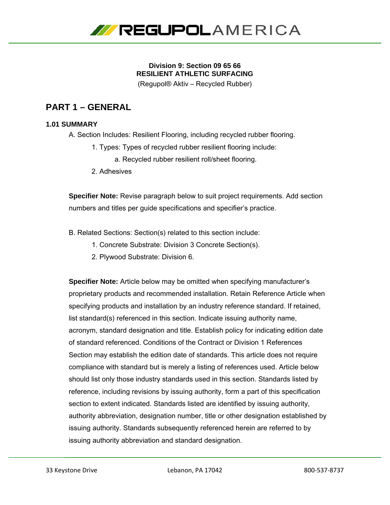

## **Division 9: Section 09 65 66 RESILIENT ATHLETIC SURFACING**

(Regupol® Aktiv – Recycled Rubber)

# **PART 1 – GENERAL**

## **1.01 SUMMARY**

A. Section Includes: Resilient Flooring, including recycled rubber flooring.

- 1. Types: Types of recycled rubber resilient flooring include:
	- a. Recycled rubber resilient roll/sheet flooring.
- 2. Adhesives

**Specifier Note:** Revise paragraph below to suit project requirements. Add section numbers and titles per guide specifications and specifier's practice.

- B. Related Sections: Section(s) related to this section include:
	- 1. Concrete Substrate: Division 3 Concrete Section(s).
	- 2. Plywood Substrate: Division 6.

**Specifier Note:** Article below may be omitted when specifying manufacturer's proprietary products and recommended installation. Retain Reference Article when specifying products and installation by an industry reference standard. If retained, list standard(s) referenced in this section. Indicate issuing authority name, acronym, standard designation and title. Establish policy for indicating edition date of standard referenced. Conditions of the Contract or Division 1 References Section may establish the edition date of standards. This article does not require compliance with standard but is merely a listing of references used. Article below should list only those industry standards used in this section. Standards listed by reference, including revisions by issuing authority, form a part of this specification section to extent indicated. Standards listed are identified by issuing authority, authority abbreviation, designation number, title or other designation established by issuing authority. Standards subsequently referenced herein are referred to by issuing authority abbreviation and standard designation.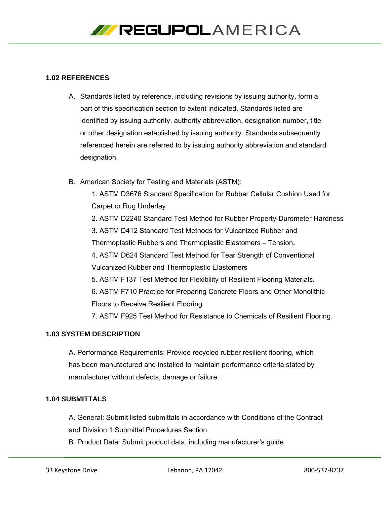

#### **1.02 REFERENCES**

- A. Standards listed by reference, including revisions by issuing authority, form a part of this specification section to extent indicated. Standards listed are identified by issuing authority, authority abbreviation, designation number, title or other designation established by issuing authority. Standards subsequently referenced herein are referred to by issuing authority abbreviation and standard designation.
- B. American Society for Testing and Materials (ASTM):

1. ASTM D3676 Standard Specification for Rubber Cellular Cushion Used for Carpet or Rug Underlay

2. ASTM D2240 Standard Test Method for Rubber Property-Durometer Hardness

3. ASTM D412 Standard Test Methods for Vulcanized Rubber and

Thermoplastic Rubbers and Thermoplastic Elastomers – Tension**.** 

- 4. ASTM D624 Standard Test Method for Tear Strength of Conventional Vulcanized Rubber and Thermoplastic Elastomers
- 5. ASTM F137 Test Method for Flexibility of Resilient Flooring Materials.

6. ASTM F710 Practice for Preparing Concrete Floors and Other Monolithic Floors to Receive Resilient Flooring.

7. ASTM F925 Test Method for Resistance to Chemicals of Resilient Flooring.

#### **1.03 SYSTEM DESCRIPTION**

A. Performance Requirements: Provide recycled rubber resilient flooring, which has been manufactured and installed to maintain performance criteria stated by manufacturer without defects, damage or failure.

#### **1.04 SUBMITTALS**

A. General: Submit listed submittals in accordance with Conditions of the Contract and Division 1 Submittal Procedures Section.

B. Product Data: Submit product data, including manufacturer's guide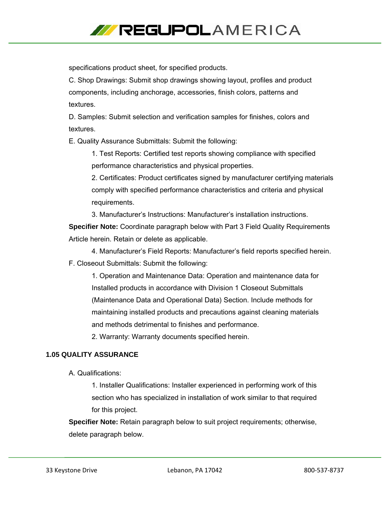

specifications product sheet, for specified products.

C. Shop Drawings: Submit shop drawings showing layout, profiles and product components, including anchorage, accessories, finish colors, patterns and textures.

D. Samples: Submit selection and verification samples for finishes, colors and textures.

E. Quality Assurance Submittals: Submit the following:

1. Test Reports: Certified test reports showing compliance with specified performance characteristics and physical properties.

2. Certificates: Product certificates signed by manufacturer certifying materials comply with specified performance characteristics and criteria and physical requirements.

3. Manufacturer's Instructions: Manufacturer's installation instructions.

**Specifier Note:** Coordinate paragraph below with Part 3 Field Quality Requirements Article herein. Retain or delete as applicable.

4. Manufacturer's Field Reports: Manufacturer's field reports specified herein.

F. Closeout Submittals: Submit the following:

1. Operation and Maintenance Data: Operation and maintenance data for Installed products in accordance with Division 1 Closeout Submittals (Maintenance Data and Operational Data) Section. Include methods for maintaining installed products and precautions against cleaning materials and methods detrimental to finishes and performance.

2. Warranty: Warranty documents specified herein.

### **1.05 QUALITY ASSURANCE**

A. Qualifications:

1. Installer Qualifications: Installer experienced in performing work of this section who has specialized in installation of work similar to that required for this project.

**Specifier Note:** Retain paragraph below to suit project requirements; otherwise, delete paragraph below.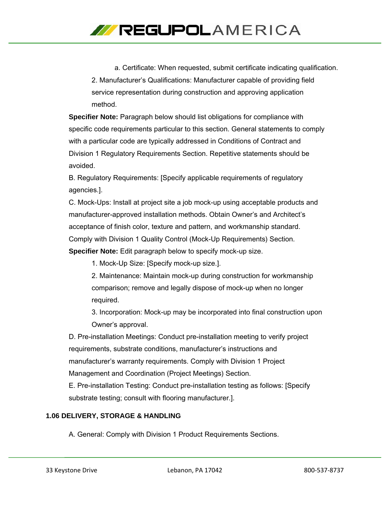

a. Certificate: When requested, submit certificate indicating qualification. 2. Manufacturer's Qualifications: Manufacturer capable of providing field service representation during construction and approving application method.

**Specifier Note:** Paragraph below should list obligations for compliance with specific code requirements particular to this section. General statements to comply with a particular code are typically addressed in Conditions of Contract and Division 1 Regulatory Requirements Section. Repetitive statements should be avoided.

B. Regulatory Requirements: [Specify applicable requirements of regulatory agencies.].

C. Mock-Ups: Install at project site a job mock-up using acceptable products and manufacturer-approved installation methods. Obtain Owner's and Architect's acceptance of finish color, texture and pattern, and workmanship standard. Comply with Division 1 Quality Control (Mock-Up Requirements) Section.

**Specifier Note:** Edit paragraph below to specify mock-up size.

1. Mock-Up Size: [Specify mock-up size.].

2. Maintenance: Maintain mock-up during construction for workmanship comparison; remove and legally dispose of mock-up when no longer required.

3. Incorporation: Mock-up may be incorporated into final construction upon Owner's approval.

D. Pre-installation Meetings: Conduct pre-installation meeting to verify project requirements, substrate conditions, manufacturer's instructions and manufacturer's warranty requirements. Comply with Division 1 Project Management and Coordination (Project Meetings) Section. E. Pre-installation Testing: Conduct pre-installation testing as follows: [Specify

substrate testing; consult with flooring manufacturer.].

## **1.06 DELIVERY, STORAGE & HANDLING**

A. General: Comply with Division 1 Product Requirements Sections.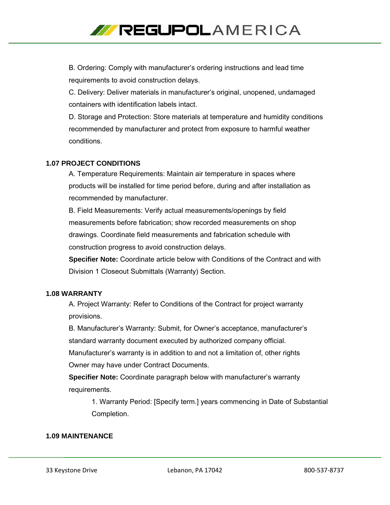

B. Ordering: Comply with manufacturer's ordering instructions and lead time requirements to avoid construction delays.

C. Delivery: Deliver materials in manufacturer's original, unopened, undamaged containers with identification labels intact.

D. Storage and Protection: Store materials at temperature and humidity conditions recommended by manufacturer and protect from exposure to harmful weather conditions.

#### **1.07 PROJECT CONDITIONS**

A. Temperature Requirements: Maintain air temperature in spaces where products will be installed for time period before, during and after installation as recommended by manufacturer.

B. Field Measurements: Verify actual measurements/openings by field measurements before fabrication; show recorded measurements on shop drawings. Coordinate field measurements and fabrication schedule with construction progress to avoid construction delays.

**Specifier Note:** Coordinate article below with Conditions of the Contract and with Division 1 Closeout Submittals (Warranty) Section.

#### **1.08 WARRANTY**

A. Project Warranty: Refer to Conditions of the Contract for project warranty provisions.

B. Manufacturer's Warranty: Submit, for Owner's acceptance, manufacturer's standard warranty document executed by authorized company official.

Manufacturer's warranty is in addition to and not a limitation of, other rights Owner may have under Contract Documents.

**Specifier Note:** Coordinate paragraph below with manufacturer's warranty requirements.

1. Warranty Period: [Specify term.] years commencing in Date of Substantial Completion.

#### **1.09 MAINTENANCE**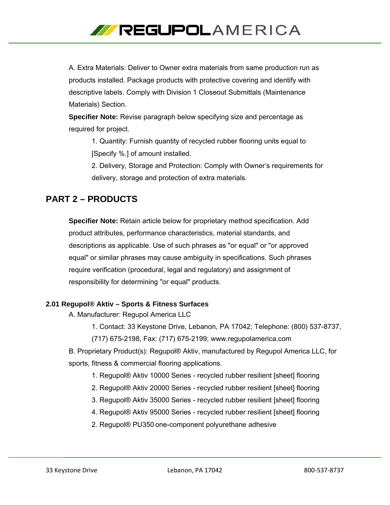

A. Extra Materials: Deliver to Owner extra materials from same production run as products installed. Package products with protective covering and identify with descriptive labels. Comply with Division 1 Closeout Submittals (Maintenance Materials) Section.

**Specifier Note:** Revise paragraph below specifying size and percentage as required for project.

1. Quantity: Furnish quantity of recycled rubber flooring units equal to [Specify %.] of amount installed.

2. Delivery, Storage and Protection: Comply with Owner's requirements for delivery, storage and protection of extra materials.

## **PART 2 – PRODUCTS**

**Specifier Note:** Retain article below for proprietary method specification. Add product attributes, performance characteristics, material standards, and descriptions as applicable. Use of such phrases as "or equal" or "or approved equal" or similar phrases may cause ambiguity in specifications. Such phrases require verification (procedural, legal and regulatory) and assignment of responsibility for determining "or equal" products.

## **2.01 Regupol® Aktiv – Sports & Fitness Surfaces**

- A. Manufacturer: Regupol America LLC
	- 1. Contact: 33 Keystone Drive, Lebanon, PA 17042; Telephone: (800) 537-8737,
	- (717) 675-2198, Fax: (717) 675-2199; www.regupolamerica.com

B. Proprietary Product(s): Regupol® Aktiv, manufactured by Regupol America LLC, for sports, fitness & commercial flooring applications.

- 1. Regupol® Aktiv 10000 Series recycled rubber resilient [sheet] flooring
- 2. Regupol® Aktiv 20000 Series recycled rubber resilient [sheet] flooring
- 3. Regupol® Aktiv 35000 Series recycled rubber resilient [sheet] flooring
- 4. Regupol® Aktiv 95000 Series recycled rubber resilient [sheet] flooring
- 2. Regupol® PU350 one-component polyurethane adhesive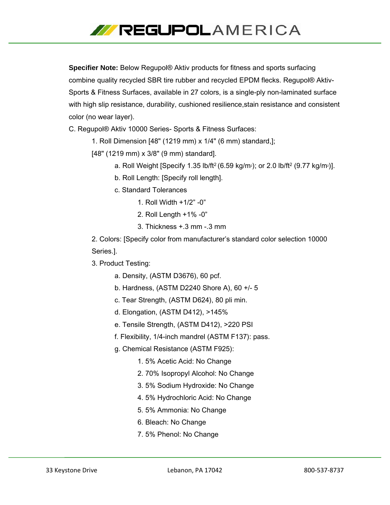

**Specifier Note:** Below Regupol® Aktiv products for fitness and sports surfacing combine quality recycled SBR tire rubber and recycled EPDM flecks. Regupol® Aktiv-Sports & Fitness Surfaces, available in 27 colors, is a single-ply non-laminated surface with high slip resistance, durability, cushioned resilience,stain resistance and consistent color (no wear layer).

C. Regupol® Aktiv 10000 Series- Sports & Fitness Surfaces:

1. Roll Dimension [48" (1219 mm) x 1/4" (6 mm) standard,];

[48" (1219 mm) x 3/8" (9 mm) standard].

- a. Roll Weight [Specify 1.35 lb/ft<sup>2</sup> (6.59 kg/m<sup>2</sup>); or 2.0 lb/ft<sup>2</sup> (9.77 kg/m<sup>2</sup>)].
- b. Roll Length: [Specify roll length].
- c. Standard Tolerances
	- 1. Roll Width +1/2" -0"
	- 2. Roll Length +1% -0"
	- 3. Thickness +.3 mm -.3 mm

2. Colors: [Specify color from manufacturer's standard color selection 10000 Series.].

- 3. Product Testing:
	- a. Density, (ASTM D3676), 60 pcf.
	- b. Hardness, (ASTM D2240 Shore A), 60 +/- 5
	- c. Tear Strength, (ASTM D624), 80 pli min.
	- d. Elongation, (ASTM D412), >145%
	- e. Tensile Strength, (ASTM D412), >220 PSI
	- f. Flexibility, 1/4-inch mandrel (ASTM F137): pass.
	- g. Chemical Resistance (ASTM F925):
		- 1. 5% Acetic Acid: No Change
		- 2. 70% Isopropyl Alcohol: No Change
		- 3. 5% Sodium Hydroxide: No Change
		- 4. 5% Hydrochloric Acid: No Change
		- 5. 5% Ammonia: No Change
		- 6. Bleach: No Change
		- 7. 5% Phenol: No Change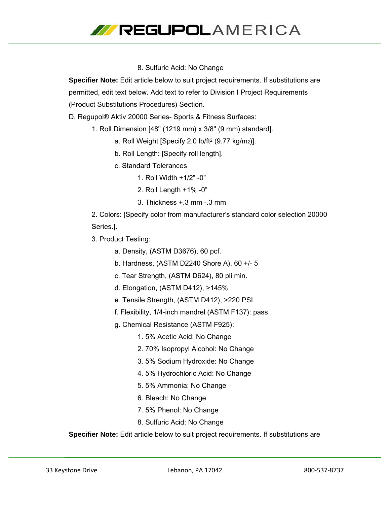

### 8. Sulfuric Acid: No Change

**Specifier Note:** Edit article below to suit project requirements. If substitutions are permitted, edit text below. Add text to refer to Division I Project Requirements (Product Substitutions Procedures) Section.

D. Regupol® Aktiv 20000 Series- Sports & Fitness Surfaces:

- 1. Roll Dimension [48" (1219 mm) x 3/8" (9 mm) standard].
	- a. Roll Weight [Specify 2.0 lb/ft2 (9.77 kg/m2)].
	- b. Roll Length: [Specify roll length].
	- c. Standard Tolerances
		- 1. Roll Width +1/2" -0"
		- 2. Roll Length +1% -0"
		- 3. Thickness +.3 mm -.3 mm

2. Colors: [Specify color from manufacturer's standard color selection 20000 Series.].

3. Product Testing:

a. Density, (ASTM D3676), 60 pcf.

- b. Hardness, (ASTM D2240 Shore A), 60 +/- 5
- c. Tear Strength, (ASTM D624), 80 pli min.
- d. Elongation, (ASTM D412), >145%
- e. Tensile Strength, (ASTM D412), >220 PSI
- f. Flexibility, 1/4-inch mandrel (ASTM F137): pass.
- g. Chemical Resistance (ASTM F925):
	- 1. 5% Acetic Acid: No Change
	- 2. 70% Isopropyl Alcohol: No Change
	- 3. 5% Sodium Hydroxide: No Change
	- 4. 5% Hydrochloric Acid: No Change
	- 5. 5% Ammonia: No Change
	- 6. Bleach: No Change
	- 7. 5% Phenol: No Change
	- 8. Sulfuric Acid: No Change

**Specifier Note:** Edit article below to suit project requirements. If substitutions are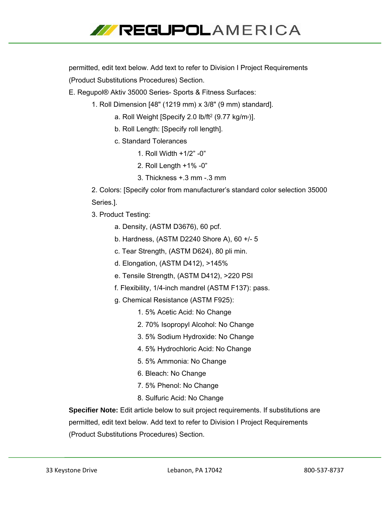

permitted, edit text below. Add text to refer to Division I Project Requirements (Product Substitutions Procedures) Section.

E. Regupol® Aktiv 35000 Series- Sports & Fitness Surfaces:

- 1. Roll Dimension [48" (1219 mm) x 3/8" (9 mm) standard].
	- a. Roll Weight [Specify 2.0 lb/ft $2$  (9.77 kg/m<sup>2</sup>)].
	- b. Roll Length: [Specify roll length].
	- c. Standard Tolerances
		- 1. Roll Width +1/2" -0"
		- 2. Roll Length +1% -0"
		- 3. Thickness +.3 mm -.3 mm

2. Colors: [Specify color from manufacturer's standard color selection 35000 Series.].

- 3. Product Testing:
	- a. Density, (ASTM D3676), 60 pcf.
	- b. Hardness, (ASTM D2240 Shore A), 60 +/- 5
	- c. Tear Strength, (ASTM D624), 80 pli min.
	- d. Elongation, (ASTM D412), >145%
	- e. Tensile Strength, (ASTM D412), >220 PSI
	- f. Flexibility, 1/4-inch mandrel (ASTM F137): pass.
	- g. Chemical Resistance (ASTM F925):
		- 1. 5% Acetic Acid: No Change
		- 2. 70% Isopropyl Alcohol: No Change
		- 3. 5% Sodium Hydroxide: No Change
		- 4. 5% Hydrochloric Acid: No Change
		- 5. 5% Ammonia: No Change
		- 6. Bleach: No Change
		- 7. 5% Phenol: No Change
		- 8. Sulfuric Acid: No Change

**Specifier Note:** Edit article below to suit project requirements. If substitutions are permitted, edit text below. Add text to refer to Division I Project Requirements (Product Substitutions Procedures) Section.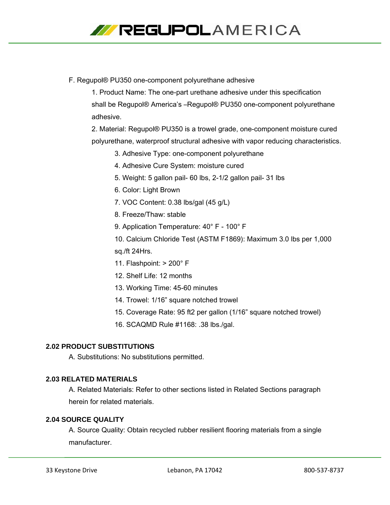

F. Regupol® PU350 one-component polyurethane adhesive

1. Product Name: The one-part urethane adhesive under this specification shall be Regupol® America's –Regupol® PU350 one-component polyurethane adhesive.

2. Material: Regupol® PU350 is a trowel grade, one-component moisture cured polyurethane, waterproof structural adhesive with vapor reducing characteristics.

- 3. Adhesive Type: one-component polyurethane
- 4. Adhesive Cure System: moisture cured
- 5. Weight: 5 gallon pail- 60 lbs, 2-1/2 gallon pail- 31 lbs
- 6. Color: Light Brown
- 7. VOC Content: 0.38 lbs/gal (45 g/L)
- 8. Freeze/Thaw: stable
- 9. Application Temperature: 40° F 100° F
- 10. Calcium Chloride Test (ASTM F1869): Maximum 3.0 lbs per 1,000

sq./ft 24Hrs.

- 11. Flashpoint: > 200° F
- 12. Shelf Life: 12 months
- 13. Working Time: 45-60 minutes
- 14. Trowel: 1/16" square notched trowel
- 15. Coverage Rate: 95 ft2 per gallon (1/16" square notched trowel)
- 16. SCAQMD Rule #1168: .38 lbs./gal.

#### **2.02 PRODUCT SUBSTITUTIONS**

A. Substitutions: No substitutions permitted.

## **2.03 RELATED MATERIALS**

A. Related Materials: Refer to other sections listed in Related Sections paragraph herein for related materials.

#### **2.04 SOURCE QUALITY**

A. Source Quality: Obtain recycled rubber resilient flooring materials from a single manufacturer.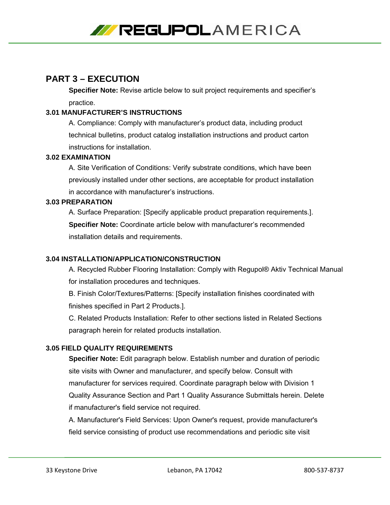

## **PART 3 – EXECUTION**

**Specifier Note:** Revise article below to suit project requirements and specifier's practice.

## **3.01 MANUFACTURER'S INSTRUCTIONS**

A. Compliance: Comply with manufacturer's product data, including product technical bulletins, product catalog installation instructions and product carton instructions for installation.

## **3.02 EXAMINATION**

A. Site Verification of Conditions: Verify substrate conditions, which have been previously installed under other sections, are acceptable for product installation in accordance with manufacturer's instructions.

## **3.03 PREPARATION**

A. Surface Preparation: [Specify applicable product preparation requirements.]. **Specifier Note:** Coordinate article below with manufacturer's recommended installation details and requirements.

## **3.04 INSTALLATION/APPLICATION/CONSTRUCTION**

A. Recycled Rubber Flooring Installation: Comply with Regupol® Aktiv Technical Manual for installation procedures and techniques.

B. Finish Color/Textures/Patterns: [Specify installation finishes coordinated with finishes specified in Part 2 Products.].

C. Related Products Installation: Refer to other sections listed in Related Sections paragraph herein for related products installation.

## **3.05 FIELD QUALITY REQUIREMENTS**

**Specifier Note:** Edit paragraph below. Establish number and duration of periodic site visits with Owner and manufacturer, and specify below. Consult with manufacturer for services required. Coordinate paragraph below with Division 1 Quality Assurance Section and Part 1 Quality Assurance Submittals herein. Delete if manufacturer's field service not required.

A. Manufacturer's Field Services: Upon Owner's request, provide manufacturer's field service consisting of product use recommendations and periodic site visit